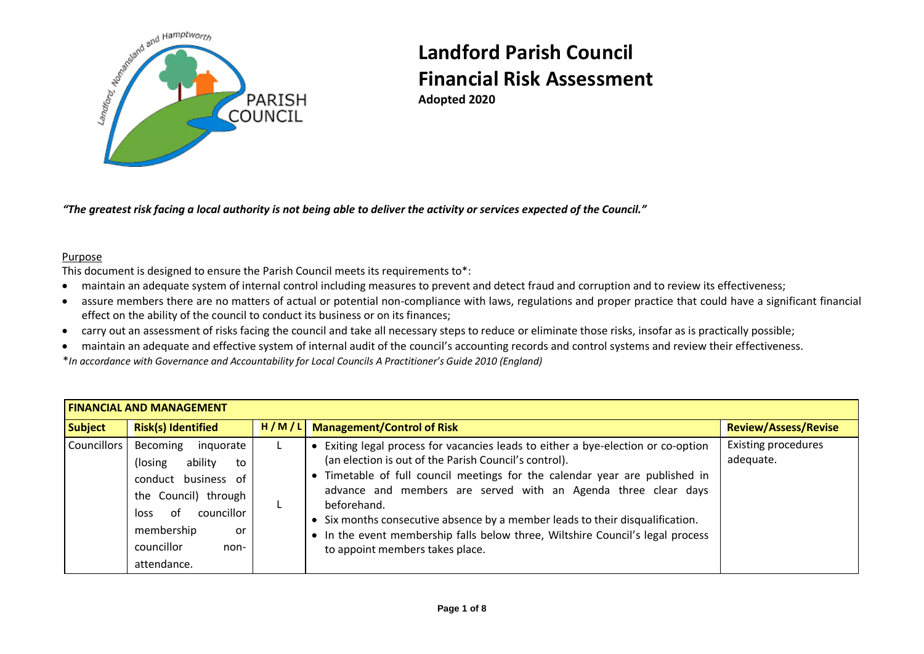

*"The greatest risk facing a local authority is not being able to deliver the activity or services expected of the Council."* 

#### Purpose

This document is designed to ensure the Parish Council meets its requirements to\*:

- maintain an adequate system of internal control including measures to prevent and detect fraud and corruption and to review its effectiveness;
- assure members there are no matters of actual or potential non-compliance with laws, regulations and proper practice that could have a significant financial effect on the ability of the council to conduct its business or on its finances;
- carry out an assessment of risks facing the council and take all necessary steps to reduce or eliminate those risks, insofar as is practically possible;
- maintain an adequate and effective system of internal audit of the council's accounting records and control systems and review their effectiveness.

\**In accordance with Governance and Accountability for Local Councils A Practitioner's Guide 2010 (England)*

| <b>FINANCIAL AND MANAGEMENT</b> |                                                                                                                                                                                     |       |                                                                                                                                                                                                                                                                                                                                                                                                                                                                                                              |                                         |  |  |
|---------------------------------|-------------------------------------------------------------------------------------------------------------------------------------------------------------------------------------|-------|--------------------------------------------------------------------------------------------------------------------------------------------------------------------------------------------------------------------------------------------------------------------------------------------------------------------------------------------------------------------------------------------------------------------------------------------------------------------------------------------------------------|-----------------------------------------|--|--|
| <b>Subject</b>                  | <b>Risk(s) Identified</b>                                                                                                                                                           | H/M/L | <b>Management/Control of Risk</b>                                                                                                                                                                                                                                                                                                                                                                                                                                                                            | <b>Review/Assess/Revise</b>             |  |  |
| Councillors                     | Becoming<br>inquorate<br>ability<br>(losing)<br>to<br>conduct business of<br>the Council) through<br>councillor<br>loss of<br>membership<br>or<br>councillor<br>non-<br>attendance. |       | Exiting legal process for vacancies leads to either a bye-election or co-option<br>(an election is out of the Parish Council's control).<br>Timetable of full council meetings for the calendar year are published in<br>advance and members are served with an Agenda three clear days<br>beforehand.<br>• Six months consecutive absence by a member leads to their disqualification.<br>• In the event membership falls below three, Wiltshire Council's legal process<br>to appoint members takes place. | <b>Existing procedures</b><br>adequate. |  |  |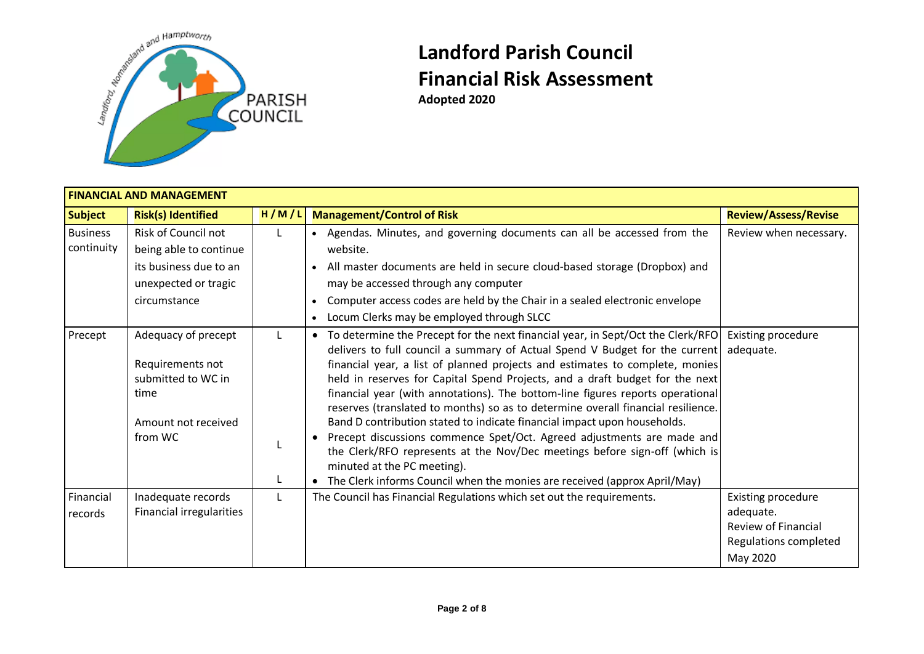

**Adopted 2020**

| <b>FINANCIAL AND MANAGEMENT</b> |                                                                                                                 |       |                                                                                                                                                                                                                                                                                                                                                                                                                                                                                                                                                                                                                                                                                                                                                                                                                                                                                |                                                                                                           |  |  |
|---------------------------------|-----------------------------------------------------------------------------------------------------------------|-------|--------------------------------------------------------------------------------------------------------------------------------------------------------------------------------------------------------------------------------------------------------------------------------------------------------------------------------------------------------------------------------------------------------------------------------------------------------------------------------------------------------------------------------------------------------------------------------------------------------------------------------------------------------------------------------------------------------------------------------------------------------------------------------------------------------------------------------------------------------------------------------|-----------------------------------------------------------------------------------------------------------|--|--|
| <b>Subject</b>                  | <b>Risk(s) Identified</b>                                                                                       | H/M/L | <b>Management/Control of Risk</b>                                                                                                                                                                                                                                                                                                                                                                                                                                                                                                                                                                                                                                                                                                                                                                                                                                              | <b>Review/Assess/Revise</b>                                                                               |  |  |
| <b>Business</b><br>continuity   | Risk of Council not<br>being able to continue<br>its business due to an<br>unexpected or tragic<br>circumstance |       | Agendas. Minutes, and governing documents can all be accessed from the<br>$\bullet$<br>website.<br>All master documents are held in secure cloud-based storage (Dropbox) and<br>$\bullet$<br>may be accessed through any computer<br>Computer access codes are held by the Chair in a sealed electronic envelope<br>$\bullet$<br>Locum Clerks may be employed through SLCC<br>$\bullet$                                                                                                                                                                                                                                                                                                                                                                                                                                                                                        | Review when necessary.                                                                                    |  |  |
| Precept                         | Adequacy of precept<br>Requirements not<br>submitted to WC in<br>time<br>Amount not received<br>from WC         | L.    | To determine the Precept for the next financial year, in Sept/Oct the Clerk/RFO<br>$\bullet$<br>delivers to full council a summary of Actual Spend V Budget for the current<br>financial year, a list of planned projects and estimates to complete, monies<br>held in reserves for Capital Spend Projects, and a draft budget for the next<br>financial year (with annotations). The bottom-line figures reports operational<br>reserves (translated to months) so as to determine overall financial resilience.<br>Band D contribution stated to indicate financial impact upon households.<br>Precept discussions commence Spet/Oct. Agreed adjustments are made and<br>$\bullet$<br>the Clerk/RFO represents at the Nov/Dec meetings before sign-off (which is<br>minuted at the PC meeting).<br>The Clerk informs Council when the monies are received (approx April/May) | Existing procedure<br>adequate.                                                                           |  |  |
| Financial<br>records            | Inadequate records<br>Financial irregularities                                                                  | L     | The Council has Financial Regulations which set out the requirements.                                                                                                                                                                                                                                                                                                                                                                                                                                                                                                                                                                                                                                                                                                                                                                                                          | <b>Existing procedure</b><br>adequate.<br><b>Review of Financial</b><br>Regulations completed<br>May 2020 |  |  |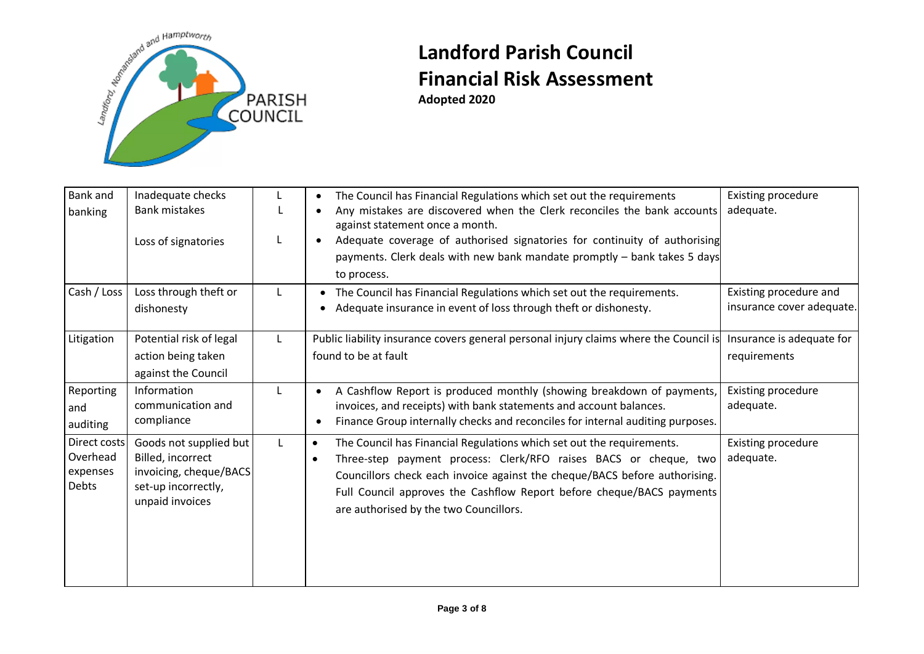

| Bank and<br>banking                           | Inadequate checks<br><b>Bank mistakes</b><br>Loss of signatories                                                |              | The Council has Financial Regulations which set out the requirements<br>Any mistakes are discovered when the Clerk reconciles the bank accounts<br>against statement once a month.<br>Adequate coverage of authorised signatories for continuity of authorising<br>payments. Clerk deals with new bank mandate promptly - bank takes 5 days<br>to process.           | <b>Existing procedure</b><br>adequate.              |
|-----------------------------------------------|-----------------------------------------------------------------------------------------------------------------|--------------|----------------------------------------------------------------------------------------------------------------------------------------------------------------------------------------------------------------------------------------------------------------------------------------------------------------------------------------------------------------------|-----------------------------------------------------|
| Cash / Loss                                   | Loss through theft or<br>dishonesty                                                                             | L            | The Council has Financial Regulations which set out the requirements.<br>Adequate insurance in event of loss through theft or dishonesty.                                                                                                                                                                                                                            | Existing procedure and<br>insurance cover adequate. |
| Litigation                                    | Potential risk of legal<br>action being taken<br>against the Council                                            | L.           | Public liability insurance covers general personal injury claims where the Council is<br>found to be at fault                                                                                                                                                                                                                                                        | Insurance is adequate for<br>requirements           |
| Reporting<br>and<br>auditing                  | Information<br>communication and<br>compliance                                                                  |              | A Cashflow Report is produced monthly (showing breakdown of payments,<br>invoices, and receipts) with bank statements and account balances.<br>Finance Group internally checks and reconciles for internal auditing purposes.                                                                                                                                        | <b>Existing procedure</b><br>adequate.              |
| Direct costs<br>Overhead<br>expenses<br>Debts | Goods not supplied but<br>Billed, incorrect<br>invoicing, cheque/BACS<br>set-up incorrectly,<br>unpaid invoices | $\mathbf{I}$ | The Council has Financial Regulations which set out the requirements.<br>$\bullet$<br>Three-step payment process: Clerk/RFO raises BACS or cheque, two<br>$\bullet$<br>Councillors check each invoice against the cheque/BACS before authorising.<br>Full Council approves the Cashflow Report before cheque/BACS payments<br>are authorised by the two Councillors. | <b>Existing procedure</b><br>adequate.              |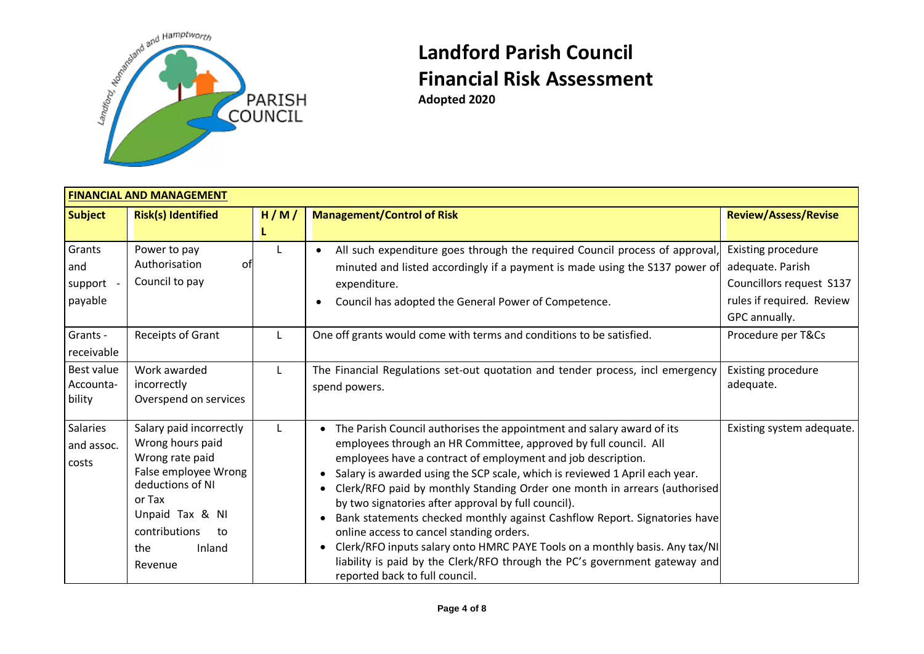

**Adopted 2020**

| <b>FINANCIAL AND MANAGEMENT</b>     |                                                                                                                                                                                            |      |                                                                                                                                                                                                                                                                                                                                                                                                                                                                                                                                                                                                                                                                                                                                                                                                           |                                                                                                 |  |  |  |
|-------------------------------------|--------------------------------------------------------------------------------------------------------------------------------------------------------------------------------------------|------|-----------------------------------------------------------------------------------------------------------------------------------------------------------------------------------------------------------------------------------------------------------------------------------------------------------------------------------------------------------------------------------------------------------------------------------------------------------------------------------------------------------------------------------------------------------------------------------------------------------------------------------------------------------------------------------------------------------------------------------------------------------------------------------------------------------|-------------------------------------------------------------------------------------------------|--|--|--|
| <b>Subject</b>                      | <b>Risk(s) Identified</b>                                                                                                                                                                  | H/M/ | <b>Management/Control of Risk</b>                                                                                                                                                                                                                                                                                                                                                                                                                                                                                                                                                                                                                                                                                                                                                                         | <b>Review/Assess/Revise</b>                                                                     |  |  |  |
|                                     |                                                                                                                                                                                            |      |                                                                                                                                                                                                                                                                                                                                                                                                                                                                                                                                                                                                                                                                                                                                                                                                           |                                                                                                 |  |  |  |
| Grants<br>and<br>support<br>payable | Power to pay<br>Authorisation<br>οt<br>Council to pay                                                                                                                                      | L    | All such expenditure goes through the required Council process of approval,<br>minuted and listed accordingly if a payment is made using the S137 power of<br>expenditure.<br>Council has adopted the General Power of Competence.                                                                                                                                                                                                                                                                                                                                                                                                                                                                                                                                                                        | Existing procedure<br>adequate. Parish<br>Councillors request S137<br>rules if required. Review |  |  |  |
| Grants -<br>receivable              | Receipts of Grant                                                                                                                                                                          |      | One off grants would come with terms and conditions to be satisfied.                                                                                                                                                                                                                                                                                                                                                                                                                                                                                                                                                                                                                                                                                                                                      | GPC annually.<br>Procedure per T&Cs                                                             |  |  |  |
| Best value<br>Accounta-<br>bility   | Work awarded<br>incorrectly<br>Overspend on services                                                                                                                                       | L    | The Financial Regulations set-out quotation and tender process, incl emergency<br>spend powers.                                                                                                                                                                                                                                                                                                                                                                                                                                                                                                                                                                                                                                                                                                           | <b>Existing procedure</b><br>adequate.                                                          |  |  |  |
| Salaries<br>and assoc.<br>costs     | Salary paid incorrectly<br>Wrong hours paid<br>Wrong rate paid<br>False employee Wrong<br>deductions of NI<br>or Tax<br>Unpaid Tax & NI<br>contributions<br>to<br>Inland<br>the<br>Revenue | L    | The Parish Council authorises the appointment and salary award of its<br>$\bullet$<br>employees through an HR Committee, approved by full council. All<br>employees have a contract of employment and job description.<br>Salary is awarded using the SCP scale, which is reviewed 1 April each year.<br>$\bullet$<br>Clerk/RFO paid by monthly Standing Order one month in arrears (authorised)<br>by two signatories after approval by full council).<br>Bank statements checked monthly against Cashflow Report. Signatories have<br>$\bullet$<br>online access to cancel standing orders.<br>Clerk/RFO inputs salary onto HMRC PAYE Tools on a monthly basis. Any tax/NI<br>$\bullet$<br>liability is paid by the Clerk/RFO through the PC's government gateway and<br>reported back to full council. | Existing system adequate.                                                                       |  |  |  |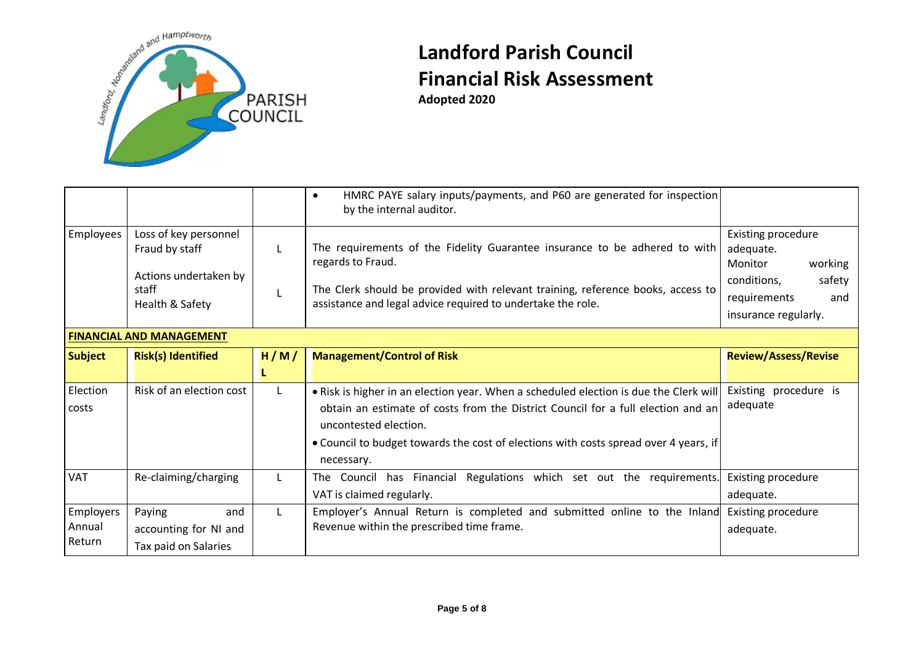

**Adopted 2020**

|                |                                                                                              |      | HMRC PAYE salary inputs/payments, and P60 are generated for inspection<br>$\bullet$<br>by the internal auditor.                                                                                                                                   |                                                                                                                               |
|----------------|----------------------------------------------------------------------------------------------|------|---------------------------------------------------------------------------------------------------------------------------------------------------------------------------------------------------------------------------------------------------|-------------------------------------------------------------------------------------------------------------------------------|
| Employees      | Loss of key personnel<br>Fraud by staff<br>Actions undertaken by<br>staff<br>Health & Safety |      | The requirements of the Fidelity Guarantee insurance to be adhered to with<br>regards to Fraud.<br>The Clerk should be provided with relevant training, reference books, access to<br>assistance and legal advice required to undertake the role. | Existing procedure<br>adequate.<br>Monitor<br>working<br>conditions,<br>safety<br>requirements<br>and<br>insurance regularly. |
|                | <b>FINANCIAL AND MANAGEMENT</b>                                                              |      |                                                                                                                                                                                                                                                   |                                                                                                                               |
| <b>Subject</b> | <b>Risk(s) Identified</b>                                                                    | H/M/ | <b>Management/Control of Risk</b>                                                                                                                                                                                                                 | <b>Review/Assess/Revise</b>                                                                                                   |
|                |                                                                                              |      |                                                                                                                                                                                                                                                   |                                                                                                                               |
| Election       | Risk of an election cost                                                                     |      | . Risk is higher in an election year. When a scheduled election is due the Clerk will                                                                                                                                                             | Existing procedure is                                                                                                         |
| costs          |                                                                                              |      | obtain an estimate of costs from the District Council for a full election and an<br>uncontested election.<br>. Council to budget towards the cost of elections with costs spread over 4 years, if<br>necessary.                                   | adequate                                                                                                                      |
| <b>VAT</b>     | Re-claiming/charging                                                                         |      | The Council has Financial Regulations which set out the requirements.<br>VAT is claimed regularly.                                                                                                                                                | <b>Existing procedure</b><br>adequate.                                                                                        |
| Employers      | Paying<br>and                                                                                |      | Employer's Annual Return is completed and submitted online to the Inland                                                                                                                                                                          | Existing procedure                                                                                                            |
| Annual         | accounting for NI and                                                                        |      | Revenue within the prescribed time frame.                                                                                                                                                                                                         | adequate.                                                                                                                     |
| Return         | Tax paid on Salaries                                                                         |      |                                                                                                                                                                                                                                                   |                                                                                                                               |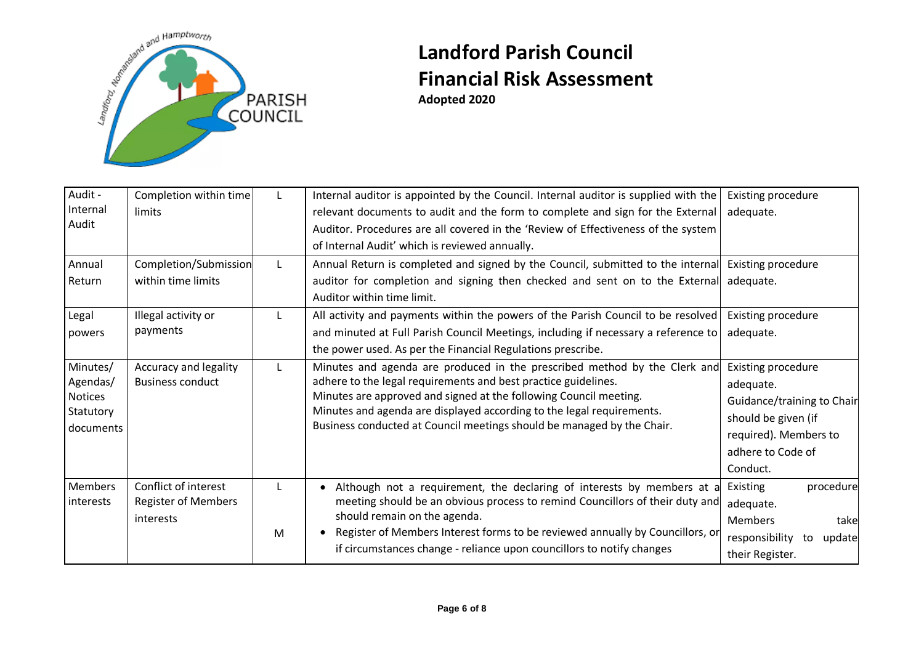

| Audit -        | Completion within time     |   | Internal auditor is appointed by the Council. Internal auditor is supplied with the                | <b>Existing procedure</b>      |
|----------------|----------------------------|---|----------------------------------------------------------------------------------------------------|--------------------------------|
| Internal       | limits                     |   | relevant documents to audit and the form to complete and sign for the External                     | adequate.                      |
| Audit          |                            |   | Auditor. Procedures are all covered in the 'Review of Effectiveness of the system                  |                                |
|                |                            |   | of Internal Audit' which is reviewed annually.                                                     |                                |
| Annual         | Completion/Submission      |   | Annual Return is completed and signed by the Council, submitted to the internal Existing procedure |                                |
| Return         | within time limits         |   | auditor for completion and signing then checked and sent on to the External                        | adequate.                      |
|                |                            |   | Auditor within time limit.                                                                         |                                |
| Legal          | Illegal activity or        |   | All activity and payments within the powers of the Parish Council to be resolved                   | Existing procedure             |
| powers         | payments                   |   | and minuted at Full Parish Council Meetings, including if necessary a reference to                 | adequate.                      |
|                |                            |   | the power used. As per the Financial Regulations prescribe.                                        |                                |
| Minutes/       | Accuracy and legality      |   | Minutes and agenda are produced in the prescribed method by the Clerk and                          | Existing procedure             |
| Agendas/       | <b>Business conduct</b>    |   | adhere to the legal requirements and best practice guidelines.                                     | adequate.                      |
| <b>Notices</b> |                            |   | Minutes are approved and signed at the following Council meeting.                                  | Guidance/training to Chair     |
| Statutory      |                            |   | Minutes and agenda are displayed according to the legal requirements.                              | should be given (if            |
| documents      |                            |   | Business conducted at Council meetings should be managed by the Chair.                             | required). Members to          |
|                |                            |   |                                                                                                    | adhere to Code of              |
|                |                            |   |                                                                                                    | Conduct.                       |
| <b>Members</b> | Conflict of interest       |   | Although not a requirement, the declaring of interests by members at a                             | Existing<br>procedure          |
| interests      | <b>Register of Members</b> |   | meeting should be an obvious process to remind Councillors of their duty and                       | adequate.                      |
|                | interests                  |   | should remain on the agenda.                                                                       | <b>Members</b><br>take         |
|                |                            | M | Register of Members Interest forms to be reviewed annually by Councillors, or                      | responsibility<br>update<br>to |
|                |                            |   | if circumstances change - reliance upon councillors to notify changes                              | their Register.                |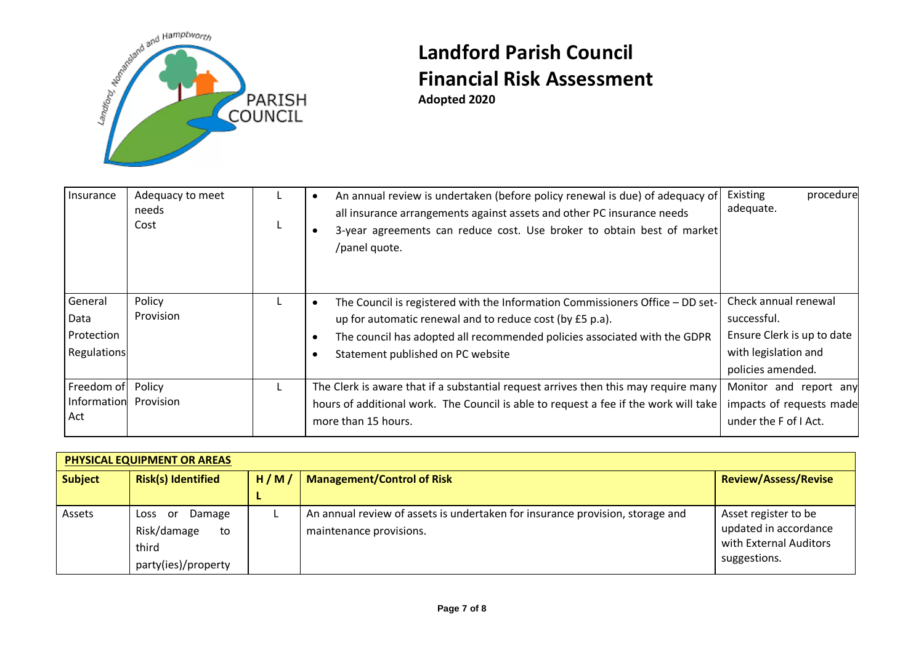

| Insurance                                    | Adequacy to meet<br>needs<br>Cost | An annual review is undertaken (before policy renewal is due) of adequacy of<br>all insurance arrangements against assets and other PC insurance needs<br>3-year agreements can reduce cost. Use broker to obtain best of market<br>/panel quote.           | Existing<br>procedure<br>adequate.                                                                             |
|----------------------------------------------|-----------------------------------|-------------------------------------------------------------------------------------------------------------------------------------------------------------------------------------------------------------------------------------------------------------|----------------------------------------------------------------------------------------------------------------|
| General<br>Data<br>Protection<br>Regulations | Policy<br>Provision               | The Council is registered with the Information Commissioners Office - DD set-<br>up for automatic renewal and to reduce cost (by £5 p.a).<br>The council has adopted all recommended policies associated with the GDPR<br>Statement published on PC website | Check annual renewal<br>successful.<br>Ensure Clerk is up to date<br>with legislation and<br>policies amended. |
| Freedom of<br>Information<br>Act             | Policy<br>Provision               | The Clerk is aware that if a substantial request arrives then this may require many<br>hours of additional work. The Council is able to request a fee if the work will take<br>more than 15 hours.                                                          | Monitor and report any<br>impacts of requests made<br>under the F of I Act.                                    |

| PHYSICAL EQUIPMENT OR AREAS |                                                                            |      |                                                                                                          |                                                                                         |  |  |
|-----------------------------|----------------------------------------------------------------------------|------|----------------------------------------------------------------------------------------------------------|-----------------------------------------------------------------------------------------|--|--|
| <b>Subject</b>              | <b>Risk(s) Identified</b>                                                  | H/M/ | <b>Management/Control of Risk</b>                                                                        | <b>Review/Assess/Revise</b>                                                             |  |  |
|                             |                                                                            |      |                                                                                                          |                                                                                         |  |  |
| Assets                      | Damage<br>Loss<br>.or<br>Risk/damage<br>to<br>third<br>party(ies)/property |      | An annual review of assets is undertaken for insurance provision, storage and<br>maintenance provisions. | Asset register to be<br>updated in accordance<br>with External Auditors<br>suggestions. |  |  |